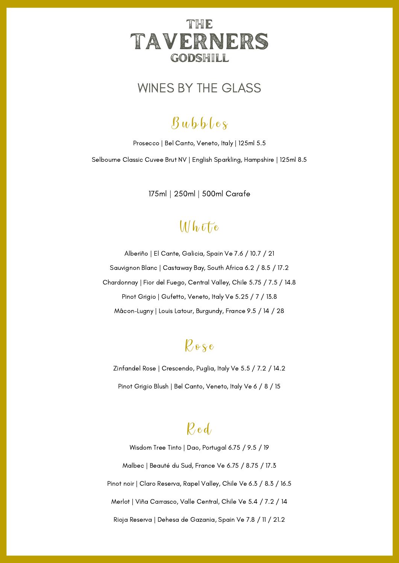

### WINES BY THE GLASS

# $\beta$ ubbles

Prosecco | Bel Canto, Veneto, Italy | 125ml 5.5

Selbourne Classic Cuvee Brut NV | English Sparkling, Hampshire | 125ml 8.5

175ml | 250ml | 500ml Carafe

### $Mh$   $\bar{U}$  e

Alberiño | El Cante, Galicia, Spain Ve 7.6 / 10.7 / 21 Sauvignon Blanc | Castaway Bay, South Africa 6.2 / 8.5 / 17.2 Chardonnay | Fior del Fuego, Central Valley, Chile 5.75 / 7.5 / 14.8 Pinot Grigio | Gufetto, Veneto, Italy Ve 5.25 / 7 / 13.8 Mâcon-Lugny | Louis Latour, Burgundy, France 9.5 / 14 / 28

# $\ell$  o s e

Zinfandel Rose | Crescendo, Puglia, Italy Ve 5.5 / 7.2 / 14.2 Pinot Grigio Blush | Bel Canto, Veneto, Italy Ve 6 / 8 / 15

### $\ell$  e d

Wisdom Tree Tinto | Dao, Portugal 6.75 / 9.5 / 19 Malbec | Beauté du Sud, France Ve 6.75 / 8.75 / 17.3 Pinot noir | Claro Reserva, Rapel Valley, Chile Ve 6.3 / 8.3 / 16.5 Merlot | Viña Carrasco, Valle Central, Chile Ve 5.4 / 7.2 / 14 Rioja Reserva | Dehesa de Gazania, Spain Ve 7.8 / 11 / 21.2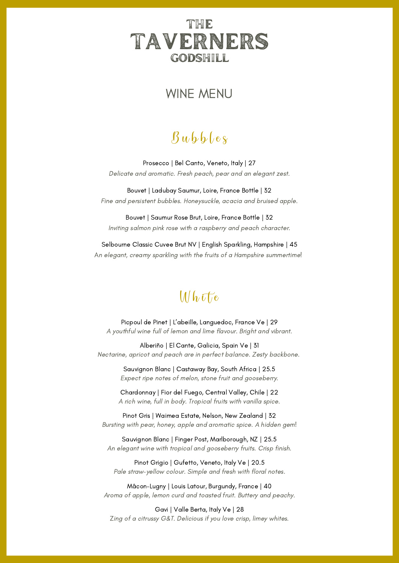### THE TAVERNERS godshill

#### WINE MENU

# $\beta$ ubbles

Prosecco | Bel Canto, Veneto, Italy | 27 Delicate and aromatic. Fresh peach, pear and an elegant zest.

Bouvet | Ladubay Saumur, Loire, France Bottle | 32 Fine and persistent bubbles. Honeysuckle, acacia and bruised apple.

Bouvet | Saumur Rose Brut, Loire, France Bottle | 32 Inviting salmon pink rose with a raspberry and peach character.

Selbourne Classic Cuvee Brut NV | English Sparkling, Hampshire | 45 An elegant, creamy sparkling with the fruits of a Hampshire summertime!

### $Mh$  if  $ie$

Picpoul de Pinet | L'abeille, Languedoc, France Ve | 29 A youthful wine full of lemon and lime flavour. Bright and vibrant.

Alberiño | El Cante, Galicia, Spain Ve | 31 Nectarine, apricot and peach are in perfect balance. Zesty backbone.

> Sauvignon Blanc | Castaway Bay, South Africa | 25.5 Expect ripe notes of melon, stone fruit and gooseberry.

Chardonnay | Fior del Fuego, Central Valley, Chile | 22 A rich wine, full in body. Tropical fruits with vanilla spice.

Pinot Gris | Waimea Estate, Nelson, New Zealand | 32 Bursting with pear, honey, apple and aromatic spice. A hidden gem!

Sauvignon Blanc | Finger Post, Marlborough, NZ | 25.5 An elegant wine with tropical and gooseberry fruits. Crisp finish.

Pinot Grigio | Gufetto, Veneto, Italy Ve | 20.5 Pale straw-yellow colour. Simple and fresh with floral notes.

Mâcon-Lugny | Louis Latour, Burgundy, France | 40 Aroma of apple, lemon curd and toasted fruit. Buttery and peachy.

Gavi | Valle Berta, Italy Ve | 28 Zing of a citrussy G&T. Delicious if you love crisp, limey whites.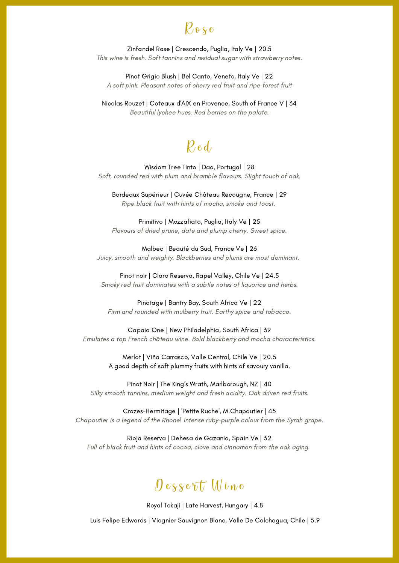

Zinfandel Rose | Crescendo, Puglia, Italy Ve | 20.5 This wine is fresh. Soft tannins and residual sugar with strawberry notes.

Pinot Grigio Blush | Bel Canto, Veneto, Italy Ve | 22 A soft pink. Pleasant notes of cherry red fruit and ripe forest fruit

Nicolas Rouzet | Coteaux d'AIX en Provence, South of France V | 34 Beautiful lychee hues. Red berries on the palate.

## $\ell$ e d

Wisdom Tree Tinto | Dao, Portugal | 28 Soft, rounded red with plum and bramble flavours. Slight touch of oak.

Bordeaux Supérieur | Cuvée Château Recougne, France | 29 Ripe black fruit with hints of mocha, smoke and toast.

Primitivo | Mozzafiato, Puglia, Italy Ve | 25 Flavours of dried prune, date and plump cherry. Sweet spice.

Malbec | Beauté du Sud, France Ve | 26 Juicy, smooth and weighty. Blackberries and plums are most dominant.

Pinot noir | Claro Reserva, Rapel Valley, Chile Ve | 24.5 Smoky red fruit dominates with a subtle notes of liquorice and herbs.

Pinotage | Bantry Bay, South Africa Ve | 22 Firm and rounded with mulberry fruit. Earthy spice and tobacco.

Capaia One | New Philadelphia, South Africa | 39 Emulates a top French château wine. Bold blackberry and mocha characteristics.

> Merlot | Viña Carrasco, Valle Central, Chile Ve | 20.5 A good depth of soft plummy fruits with hints of savoury vanilla.

Pinot Noir | The King's Wrath, Marlborough, NZ | 40 Silky smooth tannins, medium weight and fresh acidity. Oak driven red fruits.

Crozes-Hermitage | 'Petite Ruche', M.Chapoutier | 45 Chapoutier is a legend of the Rhone! Intense ruby-purple colour from the Syrah grape.

Rioja Reserva | Dehesa de Gazania, Spain Ve | 32 Full of black fruit and hints of cocoa, clove and cinnamon from the oak aging.

## $\int \theta$  e s s e  $\pi$  W ine

Royal Tokaji | Late Harvest, Hungary | 4.8

Luis Felipe Edwards | Viognier Sauvignon Blanc, Valle De Colchagua, Chile | 5.9